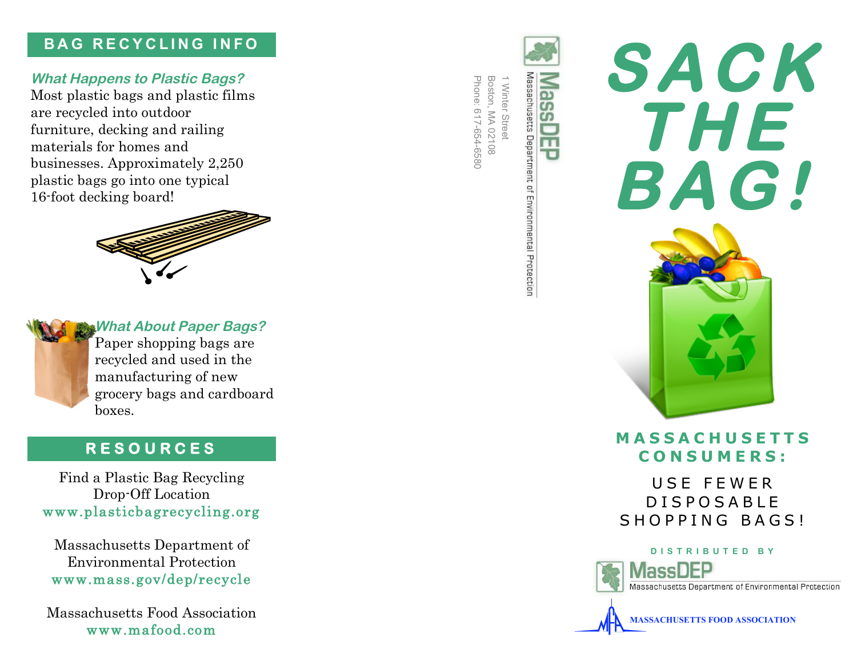### **B A G R E C Y C L I N G I N F O**

### **What Happens to Plastic Bags?**

Most plastic bags and plastic films are recycled into outdoor furniture, decking and railing materials for homes and businesses. Approximately 2,250 plastic bags go into one typical 16 -foot decking board!





**What About Paper Bags?**

Paper shopping bags are recycled and used in the manufacturing of new grocery bags and cardboard boxes.

Find a Plastic Bag Recycling Drop -Off Location www.plasticbagrecycling.org

Massachusetts Department of Environmental Protection www.mass.gov/dep/recycle **RESOURCES**<br>a Plastic Bag Recycl<br>Drop-Off Location<br>plasticbagrecyclin<br>sachusetts Departmen<br>vironmental Protectic<br>.mass.gov/dep/rec<br>achusetts Food Associ<br>www.mafood.com

Massachusetts Food Association

Massachusetts Department of Environmental Protection Phone: 617-654-6580 Boston,  $\overline{\phantom{0}}$ Winter 617-654-6580  $\lessapprox$ Street 02108

 $\overline{\mathbf{o}}$  $\overline{c}$ m.



### **M A S S A C H U S E T T S C O N S U M E R S :**

U S E F E W E R D I S P O S A B L E SHOPPING BAGS!